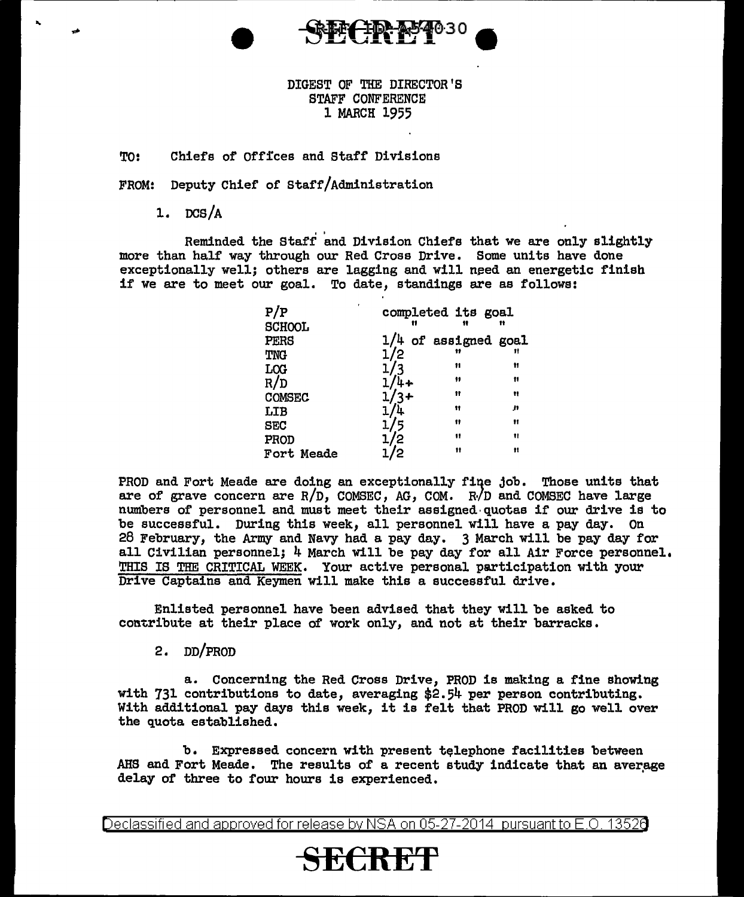

## DIGEST OF THE DIRECTOR'S STAFF CONFERENCE 1 MARCH 1955

## TO: Chiefs of Offices and Staff Divisions

FROM: Deputy Chief of Staff/Administration

1.  $DCS/A$ 

Reminded the Staff and Division Chiefs that we are only slightly more than half way through our Red Cross Drive. Some units have done exceptionally well; others are lagging and will need an energetic finish if we are to meet our goal. To date, standings are as follows:

| ٠<br>P/P<br><b>SCHOOL</b> | completed its goal<br>m | 11 | n  |
|---------------------------|-------------------------|----|----|
| PERS                      | $1/4$ of assigned goal  |    |    |
| TNG                       | 1/2                     | 11 | 11 |
| LCG                       | 1/3                     | 11 | Ħ  |
| R/D                       | 1/4+                    | 11 | n  |
| <b>COMSEC</b>             | $1/3+$                  | Ħ  | Ħ  |
| LIB                       |                         | 11 | n  |
| <b>SEC</b>                | 1/5                     | 11 | Ħ  |
| PROD                      | /2                      | 11 | 11 |
| Fort Meade                |                         | 11 | n  |

PROD and Fort Meade are doing an exceptionally fiqe job. Those units that are of grave concern are  $R/D$ , COMSEC, AG, COM.  $R/D$  and COMSEC have large numbers of personnel and must meet their assigned· quotas if our drive is to be successful. During this week, all personnel will have a pay day. On 28 February, the Army and Navy had a pay day. 3 March will be pay day for all Civilian personnel; 4 March will be pay day for all Air Force personnel. THIS IS THE CRITICAL WEEK. Your active personal participation with your Drive Captains and Keymen will make this a successful drive.

Enlisted personnel have been advised that they will be asked to contribute at their place of work only, and not at their barracks.

## 2. DD/PROD

a. Concerning the Red Cross Drive, PROD is making a fine showing with 731 contributions to date, averaging \$2.54 per person contributing. With additional pay days this week, it is felt that PROD will go well over the quota established.

b. Expressed concern with present telephone facilities between AHS and Fort Meade. The results of a recent study indicate that an average delay of three to four hours is experienced.

Declassified and approved for release by NSA on 05-27-2014 pursuantto E.O. 1352a

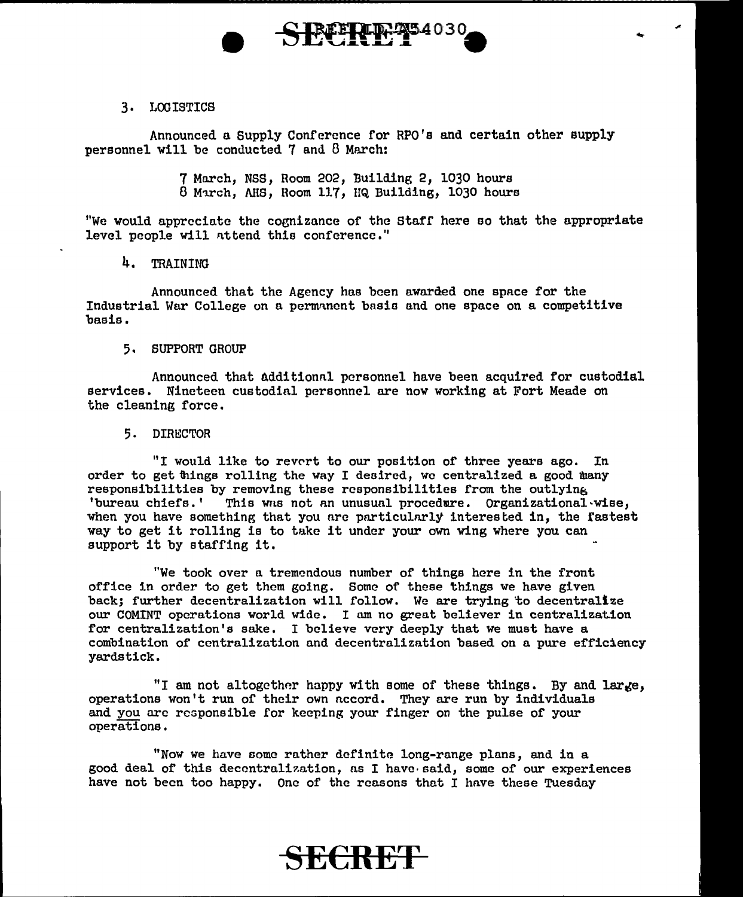### 3. LOGISTICS

Announced a Supply Conference for RPO's and certain other supply personnel will be conducted 7 and 8 March:

**SECRET<sup>34030</sup>** 

**-**<br>●

....

7 March, NSS, Room 202, Building 2, 1030 hours 8 March, AHS, Room 117, HQ Building, 1030 hours

"We would appreciate the cognizance of the Starr here eo that the appropriate level people will nttend this conference."

4. TRAINING

Announced that the Agency has been awarded one space for the Industrial War College on a permannent basis and one space on a competitive basis.

#### 5. SUPPORT GROUP

Announced that additional personnel have been acquired for custodial services. Nineteen custodial personnel are now working at Fort Meade on the cleaning force.

#### 5. DIRECTOR

"I would like to revert to our position of three years ago. In order to get things rolling the way I desired, we centralized a good many responsibilities by removing these responsibilities from the outlying 'bureau chiefs.' This was not an unusual procedure. Organizational·wise, when you have something that you are particularly interested in, the fastest way to get it rolling is to take it under your own wing where you can support it by staffing it.

"We took over a tremendous number of things here in the front office in order to get them going. Some of these things we have given back; further decentralization will follow. We are trying to decentrallze our COMINT operations world wide. I am no great believer in centralization for centralization's sake. I believe very deeply that we must have a combination of centralization and decentralization based on a pure efficiency yardstick.

"I am not altogether happy with some of these things. By and large, operations won't run of their own accord. They are run by individuals and you are responsible for keeping your finger on the pulse of your operations.

"Now we have some rather definite long-range plans, and in a good deal of this decentralization, ns I have· said, some of our experiences have not been too happy. One of the reasons that I have these Tuesday

# **SECRET**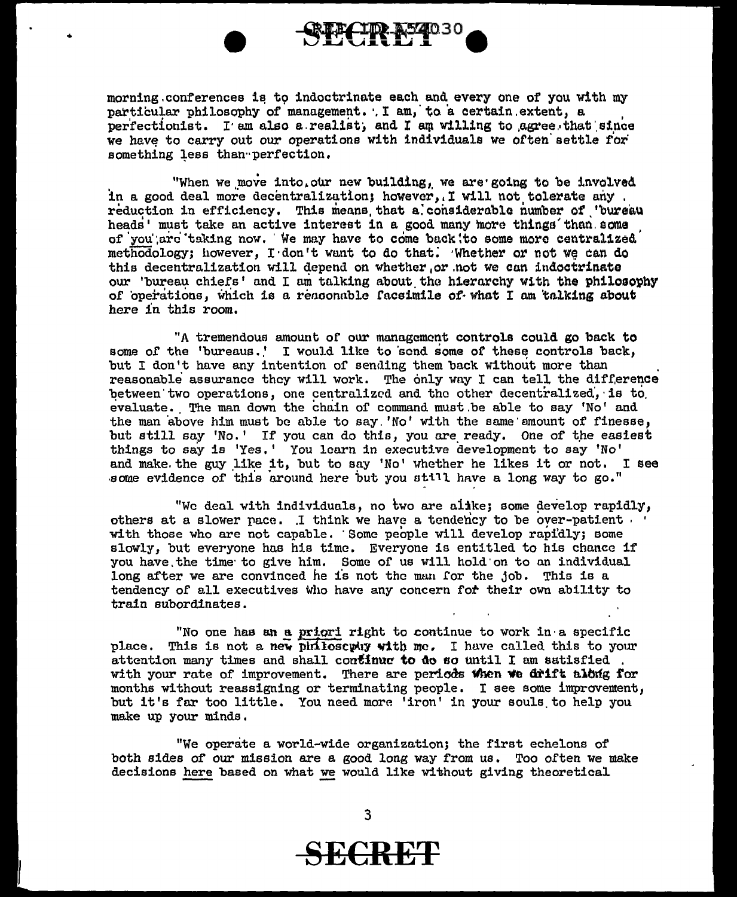

morning conferences is to indoctrinate each and every one of you with my particular philosophy of management. . I am, to a certain extent, a perfectionist. I am also a realist, and I am willing to agree that since we have to carry out our operations with individuals we often settle for something less than perfection.

"When we move into our new building, we are going to be involved in a good deal more decentralization; however, I will not tolerate any. reduction in efficiency. This means that a considerable number of 'bureau heads' must take an active interest in a good many more things than some of you are taking now. We may have to come back to some more centralized methodology; however, I don't want to do that. Whether or not we can do this decentralization will depend on whether, or not we can indoctrinate our 'bureau chiefs' and I am talking about the hierarchy with the philosophy of operations, which is a reasonable facsimile of what I am talking about here in this room.

"A tremendous amount of our management controls could go back to some of the 'bureaus.' I would like to send some of these controls back, but I don't have any intention of sending them back without more than reasonable assurance they will work. The only way I can tell the difference between two operations, one centralized and the other decentralized, is to evaluate. The man down the chain of command must be able to say 'No' and the man above him must be able to say 'No' with the same smount of finesse, but still say 'No.' If you can do this, you are ready. One of the easiest things to say is 'Yes.' You learn in executive development to say 'No' and make the guy like it, but to say 'No' whether he likes it or not. I see some evidence of this around here but you still have a long way to go."

"We deal with individuals, no two are alike; some develop rapidly, others at a slower pace. I think we have a tendency to be over-patient. with those who are not capable. Some people will develop rapidly; some slowly, but everyone has his time. Everyone is entitled to his chance if you have the time to give him. Some of us will hold on to an individual long after we are convinced he is not the man for the job. This is a tendency of all executives who have any concern for their own ability to train subordinates.

"No one has an a priori right to continue to work in a specific place. This is not a new philosophy with me. I have called this to your attention many times and shall continue to do so until I am satisfied. with your rate of improvement. There are periods when we drift along for months without reassigning or terminating people. I see some improvement, but it's far too little. You need more 'iron' in your souls to help you make up your minds.

"We operate a world-wide organization; the first echelons of both sides of our mission are a good long way from us. Too often we make decisions here based on what we would like without giving theoretical

SECRET